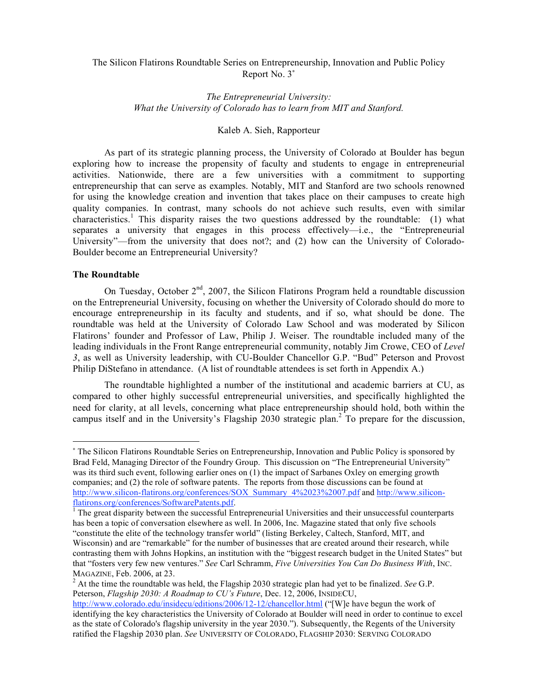# The Silicon Flatirons Roundtable Series on Entrepreneurship, Innovation and Public Policy Report No. 3<sup>∗</sup>

# *The Entrepreneurial University: What the University of Colorado has to learn from MIT and Stanford.*

# Kaleb A. Sieh, Rapporteur

As part of its strategic planning process, the University of Colorado at Boulder has begun exploring how to increase the propensity of faculty and students to engage in entrepreneurial activities. Nationwide, there are a few universities with a commitment to supporting entrepreneurship that can serve as examples. Notably, MIT and Stanford are two schools renowned for using the knowledge creation and invention that takes place on their campuses to create high quality companies. In contrast, many schools do not achieve such results, even with similar characteristics.<sup>1</sup> This disparity raises the two questions addressed by the roundtable: (1) what separates a university that engages in this process effectively—i.e., the "Entrepreneurial University"—from the university that does not?; and (2) how can the University of Colorado-Boulder become an Entrepreneurial University?

#### **The Roundtable**

 $\overline{a}$ 

On Tuesday, October  $2<sup>nd</sup>$ , 2007, the Silicon Flatirons Program held a roundtable discussion on the Entrepreneurial University, focusing on whether the University of Colorado should do more to encourage entrepreneurship in its faculty and students, and if so, what should be done. The roundtable was held at the University of Colorado Law School and was moderated by Silicon Flatirons' founder and Professor of Law, Philip J. Weiser. The roundtable included many of the leading individuals in the Front Range entrepreneurial community, notably Jim Crowe, CEO of *Level 3*, as well as University leadership, with CU-Boulder Chancellor G.P. "Bud" Peterson and Provost Philip DiStefano in attendance. (A list of roundtable attendees is set forth in Appendix A.)

The roundtable highlighted a number of the institutional and academic barriers at CU, as compared to other highly successful entrepreneurial universities, and specifically highlighted the need for clarity, at all levels, concerning what place entrepreneurship should hold, both within the campus itself and in the University's Flagship 2030 strategic plan. <sup>2</sup> To prepare for the discussion,

<sup>∗</sup> The Silicon Flatirons Roundtable Series on Entrepreneurship, Innovation and Public Policy is sponsored by Brad Feld, Managing Director of the Foundry Group. This discussion on "The Entrepreneurial University" was its third such event, following earlier ones on (1) the impact of Sarbanes Oxley on emerging growth companies; and (2) the role of software patents. The reports from those discussions can be found at http://www.silicon-flatirons.org/conferences/SOX\_Summary\_4%2023%2007.pdf and http://www.silicon-flatirons.org/conferences/SoftwarePatents.pdf.

 $<sup>1</sup>$  The great disparity between the successful Entrepreneurial Universities and their unsuccessful counterparts</sup> has been a topic of conversation elsewhere as well. In 2006, Inc. Magazine stated that only five schools "constitute the elite of the technology transfer world" (listing Berkeley, Caltech, Stanford, MIT, and Wisconsin) and are "remarkable" for the number of businesses that are created around their research, while contrasting them with Johns Hopkins, an institution with the "biggest research budget in the United States" but that "fosters very few new ventures." *See* Carl Schramm, *Five Universities You Can Do Business With*, INC. MAGAZINE, Feb. 2006, at 23. <sup>2</sup> At the time the roundtable was held, the Flagship <sup>2030</sup> strategic plan had yet to be finalized. *See* G.P.

Peterson, *Flagship 2030: A Roadmap to CU's Future*, Dec. 12, 2006, INSIDECU,

http://www.colorado.edu/insidecu/editions/2006/12-12/chancellor.html ("[W]e have begun the work of identifying the key characteristics the University of Colorado at Boulder will need in order to continue to excel as the state of Colorado's flagship university in the year 2030."). Subsequently, the Regents of the University ratified the Flagship 2030 plan. *See* UNIVERSITY OF COLORADO, FLAGSHIP 2030: SERVING COLORADO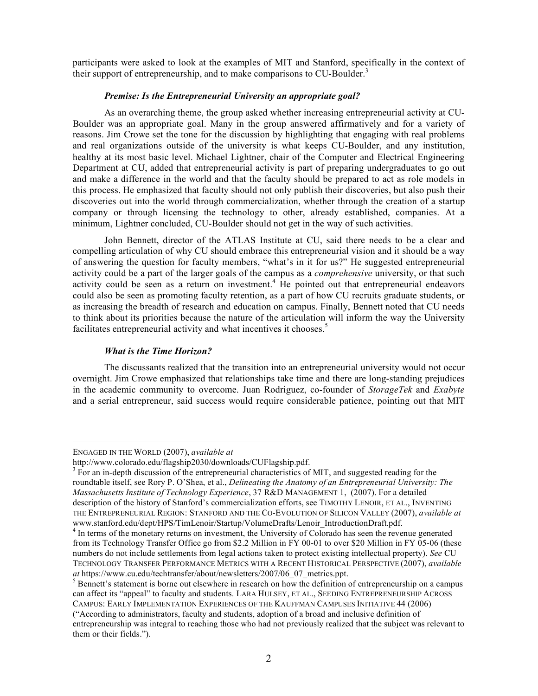participants were asked to look at the examples of MIT and Stanford, specifically in the context of their support of entrepreneurship, and to make comparisons to CU-Boulder.<sup>3</sup>

#### *Premise: Is the Entrepreneurial University an appropriate goal?*

As an overarching theme, the group asked whether increasing entrepreneurial activity at CU-Boulder was an appropriate goal. Many in the group answered affirmatively and for a variety of reasons. Jim Crowe set the tone for the discussion by highlighting that engaging with real problems and real organizations outside of the university is what keeps CU-Boulder, and any institution, healthy at its most basic level. Michael Lightner, chair of the Computer and Electrical Engineering Department at CU, added that entrepreneurial activity is part of preparing undergraduates to go out and make a difference in the world and that the faculty should be prepared to act as role models in this process. He emphasized that faculty should not only publish their discoveries, but also push their discoveries out into the world through commercialization, whether through the creation of a startup company or through licensing the technology to other, already established, companies. At a minimum, Lightner concluded, CU-Boulder should not get in the way of such activities.

John Bennett, director of the ATLAS Institute at CU, said there needs to be a clear and compelling articulation of why CU should embrace this entrepreneurial vision and it should be a way of answering the question for faculty members, "what's in it for us?" He suggested entrepreneurial activity could be a part of the larger goals of the campus as a *comprehensive* university, or that such activity could be seen as a return on investment.<sup>4</sup> He pointed out that entrepreneurial endeavors could also be seen as promoting faculty retention, as a part of how CU recruits graduate students, or as increasing the breadth of research and education on campus. Finally, Bennett noted that CU needs to think about its priorities because the nature of the articulation will inform the way the University facilitates entrepreneurial activity and what incentives it chooses.<sup>5</sup>

#### *What is the Time Horizon?*

The discussants realized that the transition into an entrepreneurial university would not occur overnight. Jim Crowe emphasized that relationships take time and there are long-standing prejudices in the academic community to overcome. Juan Rodriguez, co-founder of *StorageTek* and *Exabyte* and a serial entrepreneur, said success would require considerable patience, pointing out that MIT

1

ENGAGED IN THE WORLD (2007), *available at*

http://www.colorado.edu/flagship2030/downloads/CUFlagship.pdf.<br><sup>3</sup> For an in-depth discussion of the entrepreneurial characteristics of MIT, and suggested reading for the roundtable itself, see Rory P. O'Shea, et al., *Delineating the Anatomy of an Entrepreneurial University: The Massachusetts Institute of Technology Experience*, 37 R&D MANAGEMENT 1, (2007). For a detailed description of the history of Stanford's commercialization efforts, see TIMOTHY LENOIR, ET AL., INVENTING THE ENTREPRENEURIAL REGION: STANFORD AND THE CO-EVOLUTION OF SILICON VALLEY (2007), *available at*

www.stanford.edu/dept/HPS/TimLenoir/Startup/VolumeDrafts/Lenoir\_IntroductionDraft.pdf. <sup>4</sup> In terms of the monetary returns on investment, the University of Colorado has seen the revenue generated from its Technology Transfer Office go from \$2.2 Million in FY 00-01 to over \$20 Million in FY 05-06 (these numbers do not include settlements from legal actions taken to protect existing intellectual property). *See* CU TECHNOLOGY TRANSFER PERFORMANCE METRICS WITH A RECENT HISTORICAL PERSPECTIVE (2007), *available at* https://www.cu.edu/techtransfer/about/newsletters/2007/06\_07\_metrics.ppt. <sup>5</sup> Bennett's statement is borne out elsewhere in research on how the definition of entrepreneurship on <sup>a</sup> campus

can affect its "appeal" to faculty and students. LARA HULSEY, ET AL., SEEDING ENTREPRENEURSHIP ACROSS CAMPUS: EARLY IMPLEMENTATION EXPERIENCES OF THE KAUFFMAN CAMPUSES INITIATIVE 44 (2006)

<sup>(&</sup>quot;According to administrators, faculty and students, adoption of a broad and inclusive definition of entrepreneurship was integral to reaching those who had not previously realized that the subject was relevant to them or their fields.").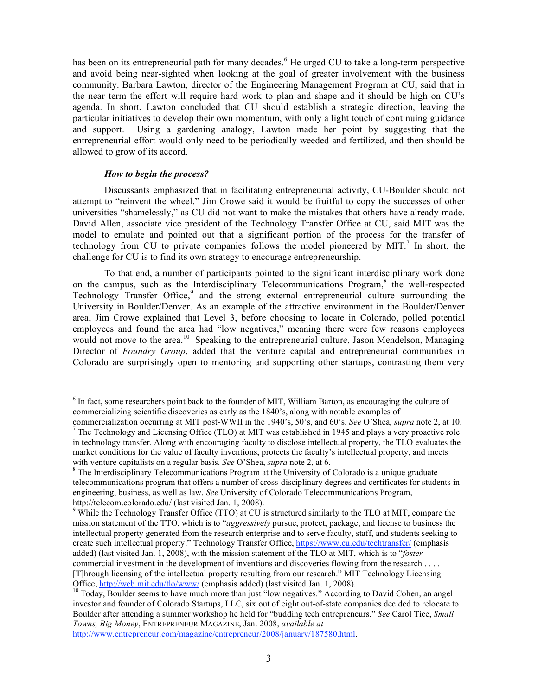has been on its entrepreneurial path for many decades.<sup>6</sup> He urged CU to take a long-term perspective and avoid being near-sighted when looking at the goal of greater involvement with the business community. Barbara Lawton, director of the Engineering Management Program at CU, said that in the near term the effort will require hard work to plan and shape and it should be high on CU's agenda. In short, Lawton concluded that CU should establish a strategic direction, leaving the particular initiatives to develop their own momentum, with only a light touch of continuing guidance and support. Using a gardening analogy, Lawton made her point by suggesting that the entrepreneurial effort would only need to be periodically weeded and fertilized, and then should be allowed to grow of its accord.

### *How to begin the process?*

Discussants emphasized that in facilitating entrepreneurial activity, CU-Boulder should not attempt to "reinvent the wheel." Jim Crowe said it would be fruitful to copy the successes of other universities "shamelessly," as CU did not want to make the mistakes that others have already made. David Allen, associate vice president of the Technology Transfer Office at CU, said MIT was the model to emulate and pointed out that a significant portion of the process for the transfer of technology from CU to private companies follows the model pioneered by MIT. <sup>7</sup> In short, the challenge for CU is to find its own strategy to encourage entrepreneurship.

To that end, a number of participants pointed to the significant interdisciplinary work done on the campus, such as the Interdisciplinary Telecommunications  $Program<sub>1</sub><sup>8</sup>$  the well-respected Technology Transfer Office,<sup>9</sup> and the strong external entrepreneurial culture surrounding the University in Boulder/Denver. As an example of the attractive environment in the Boulder/Denver area, Jim Crowe explained that Level 3, before choosing to locate in Colorado, polled potential employees and found the area had "low negatives," meaning there were few reasons employees would not move to the area.<sup>10</sup> Speaking to the entrepreneurial culture, Jason Mendelson, Managing Director of *Foundry Group*, added that the venture capital and entrepreneurial communities in Colorado are surprisingly open to mentoring and supporting other startups, contrasting them very

http://www.entrepreneur.com/magazine/entrepreneur/2008/january/187580.html.

<sup>&</sup>lt;sup>6</sup> In fact, some researchers point back to the founder of MIT, William Barton, as encouraging the culture of commercializing scientific discoveries as early as the 1840's, along with notable examples of

commercialization occurring at MIT post-WWII in the 1940's, 50's, and 60's. See O'Shea, *supra* note 2, at 10.<br><sup>7</sup> The Technology and Licensing Office (TLO) at MIT was established in 1945 and plays a very proactive role in technology transfer. Along with encouraging faculty to disclose intellectual property, the TLO evaluates the market conditions for the value of faculty inventions, protects the faculty's intellectual property, and meets with venture capitalists on a regular basis. *See* O'Shea, *supra* note 2, at 6.<br><sup>8</sup> The Interdisciplinary Telecommunications Program at the University of Colorado is a unique graduate

telecommunications program that offers a number of cross-disciplinary degrees and certificates for students in engineering, business, as well as law. *See* University of Colorado Telecommunications Program, http://telecom.colorado.edu/ (last visited Jan. 1, 2008).<br><sup>9</sup> While the Technology Transfer Office (TTO) at CU is structured similarly to the TLO at MIT, compare the

mission statement of the TTO, which is to "*aggressively* pursue, protect, package, and license to business the intellectual property generated from the research enterprise and to serve faculty, staff, and students seeking to create such intellectual property." Technology Transfer Office, https://www.cu.edu/techtransfer/ (emphasis added) (last visited Jan. 1, 2008), with the mission statement of the TLO at MIT, which is to "*foster* commercial investment in the development of inventions and discoveries flowing from the research . . . . [T]hrough licensing of the intellectual property resulting from our research." MIT Technology Licensing Office,  $\frac{http://web.mit.edu/tlo/www/}{http://web.mit.edu/tlo/www/}{\text{emphasis added}}$  (last visited Jan. 1, 2008).

investor and founder of Colorado Startups, LLC, six out of eight out-of-state companies decided to relocate to Boulder after attending a summer workshop he held for "budding tech entrepreneurs." *See* Carol Tice, *Small Towns, Big Money*, ENTREPRENEUR MAGAZINE, Jan. 2008, *available at*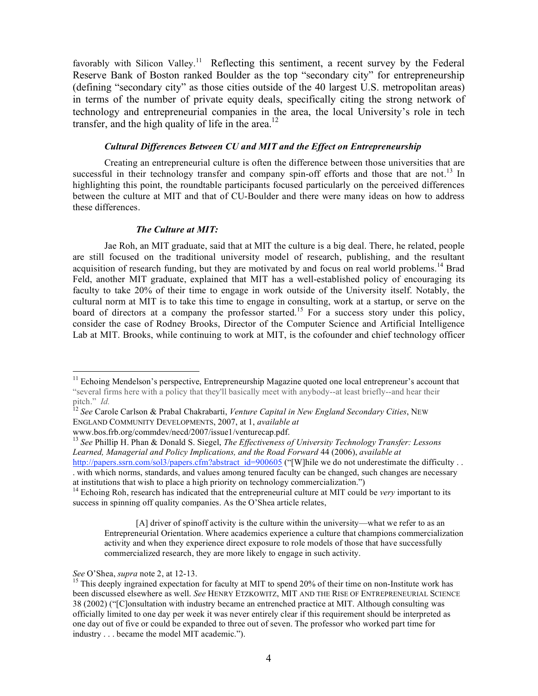favorably with Silicon Valley.<sup>11</sup> Reflecting this sentiment, a recent survey by the Federal Reserve Bank of Boston ranked Boulder as the top "secondary city" for entrepreneurship (defining "secondary city" as those cities outside of the 40 largest U.S. metropolitan areas) in terms of the number of private equity deals, specifically citing the strong network of technology and entrepreneurial companies in the area, the local University's role in tech transfer, and the high quality of life in the area.<sup>12</sup>

### *Cultural Differences Between CU and MIT and the Effect on Entrepreneurship*

Creating an entrepreneurial culture is often the difference between those universities that are successful in their technology transfer and company spin-off efforts and those that are not.<sup>13</sup> In highlighting this point, the roundtable participants focused particularly on the perceived differences between the culture at MIT and that of CU-Boulder and there were many ideas on how to address these differences.

#### *The Culture at MIT:*

Jae Roh, an MIT graduate, said that at MIT the culture is a big deal. There, he related, people are still focused on the traditional university model of research, publishing, and the resultant acquisition of research funding, but they are motivated by and focus on real world problems.<sup>14</sup> Brad Feld, another MIT graduate, explained that MIT has a well-established policy of encouraging its faculty to take 20% of their time to engage in work outside of the University itself. Notably, the cultural norm at MIT is to take this time to engage in consulting, work at a startup, or serve on the board of directors at a company the professor started.<sup>15</sup> For a success story under this policy, consider the case of Rodney Brooks, Director of the Computer Science and Artificial Intelligence Lab at MIT. Brooks, while continuing to work at MIT, is the cofounder and chief technology officer

[A] driver of spinoff activity is the culture within the university—what we refer to as an Entrepreneurial Orientation. Where academics experience a culture that champions commercialization activity and when they experience direct exposure to role models of those that have successfully commercialized research, they are more likely to engage in such activity.

<sup>&</sup>lt;sup>11</sup> Echoing Mendelson's perspective, Entrepreneurship Magazine quoted one local entrepreneur's account that "several firms here with a policy that they'll basically meet with anybody--at least briefly--and hear their

pitch." *Id.* <sup>12</sup> *See* Carole Carlson & Prabal Chakrabarti, *Venture Capital in New England Secondary Cities*, NEW ENGLAND COMMUNITY DEVELOPMENTS, 2007, at 1, *available at*

www.bos.frb.org/commdev/necd/2007/issue1/venturecap.pdf. <sup>13</sup> *See* Phillip H. Phan & Donald S. Siegel, *The Effectiveness of University Technology Transfer: Lessons Learned, Managerial and Policy Implications, and the Road Forward* 44 (2006), *available at* http://papers.ssrn.com/sol3/papers.cfm?abstract\_id=900605 ("[W]hile we do not underestimate the difficulty . . . with which norms, standards, and values among tenured faculty can be changed, such changes are necessary

at institutions that wish to place <sup>a</sup> high priority on technology commercialization.") <sup>14</sup> Echoing Roh, research has indicated that the entrepreneurial culture at MIT could be *very* important to its success in spinning off quality companies. As the O'Shea article relates,

*See* O'Shea, *supra* note 2, at 12-13.<br><sup>15</sup> This deeply ingrained expectation for faculty at MIT to spend 20% of their time on non-Institute work has been discussed elsewhere as well. *See* HENRY ETZKOWITZ, MIT AND THE RISE OF ENTREPRENEURIAL SCIENCE 38 (2002) ("[C]onsultation with industry became an entrenched practice at MIT. Although consulting was officially limited to one day per week it was never entirely clear if this requirement should be interpreted as one day out of five or could be expanded to three out of seven. The professor who worked part time for industry . . . became the model MIT academic.").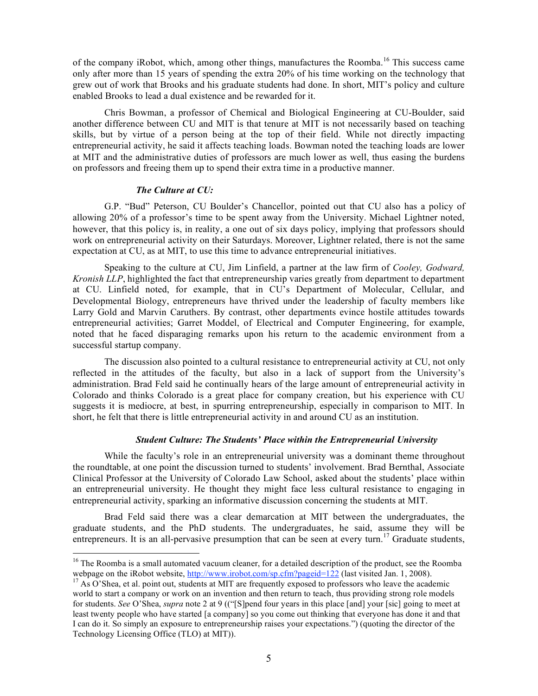of the company iRobot, which, among other things, manufactures the Roomba.<sup>16</sup> This success came only after more than 15 years of spending the extra 20% of his time working on the technology that grew out of work that Brooks and his graduate students had done. In short, MIT's policy and culture enabled Brooks to lead a dual existence and be rewarded for it.

Chris Bowman, a professor of Chemical and Biological Engineering at CU-Boulder, said another difference between CU and MIT is that tenure at MIT is not necessarily based on teaching skills, but by virtue of a person being at the top of their field. While not directly impacting entrepreneurial activity, he said it affects teaching loads. Bowman noted the teaching loads are lower at MIT and the administrative duties of professors are much lower as well, thus easing the burdens on professors and freeing them up to spend their extra time in a productive manner.

#### *The Culture at CU:*

G.P. "Bud" Peterson, CU Boulder's Chancellor, pointed out that CU also has a policy of allowing 20% of a professor's time to be spent away from the University. Michael Lightner noted, however, that this policy is, in reality, a one out of six days policy, implying that professors should work on entrepreneurial activity on their Saturdays. Moreover, Lightner related, there is not the same expectation at CU, as at MIT, to use this time to advance entrepreneurial initiatives.

Speaking to the culture at CU, Jim Linfield, a partner at the law firm of *Cooley, Godward, Kronish LLP*, highlighted the fact that entrepreneurship varies greatly from department to department at CU. Linfield noted, for example, that in CU's Department of Molecular, Cellular, and Developmental Biology, entrepreneurs have thrived under the leadership of faculty members like Larry Gold and Marvin Caruthers. By contrast, other departments evince hostile attitudes towards entrepreneurial activities; Garret Moddel, of Electrical and Computer Engineering, for example, noted that he faced disparaging remarks upon his return to the academic environment from a successful startup company.

The discussion also pointed to a cultural resistance to entrepreneurial activity at CU, not only reflected in the attitudes of the faculty, but also in a lack of support from the University's administration. Brad Feld said he continually hears of the large amount of entrepreneurial activity in Colorado and thinks Colorado is a great place for company creation, but his experience with CU suggests it is mediocre, at best, in spurring entrepreneurship, especially in comparison to MIT. In short, he felt that there is little entrepreneurial activity in and around CU as an institution.

### *Student Culture: The Students' Place within the Entrepreneurial University*

While the faculty's role in an entrepreneurial university was a dominant theme throughout the roundtable, at one point the discussion turned to students' involvement. Brad Bernthal, Associate Clinical Professor at the University of Colorado Law School, asked about the students' place within an entrepreneurial university. He thought they might face less cultural resistance to engaging in entrepreneurial activity, sparking an informative discussion concerning the students at MIT.

Brad Feld said there was a clear demarcation at MIT between the undergraduates, the graduate students, and the PhD students. The undergraduates, he said, assume they will be entrepreneurs. It is an all-pervasive presumption that can be seen at every turn.<sup>17</sup> Graduate students,

<sup>&</sup>lt;sup>16</sup> The Roomba is a small automated vacuum cleaner, for a detailed description of the product, see the Roomba webpage on the iRobot website, http://www.irobot.com/sp.cfm?pageid=122 (last visited Jan. 1, 2008).<br><sup>17</sup> As O'Shea, et al. point out, students at MIT are frequently exposed to professors who leave the academic

world to start a company or work on an invention and then return to teach, thus providing strong role models for students. *See* O'Shea, *supra* note 2 at 9 (("[S]pend four years in this place [and] your [sic] going to meet at least twenty people who have started [a company] so you come out thinking that everyone has done it and that I can do it. So simply an exposure to entrepreneurship raises your expectations.") (quoting the director of the Technology Licensing Office (TLO) at MIT)).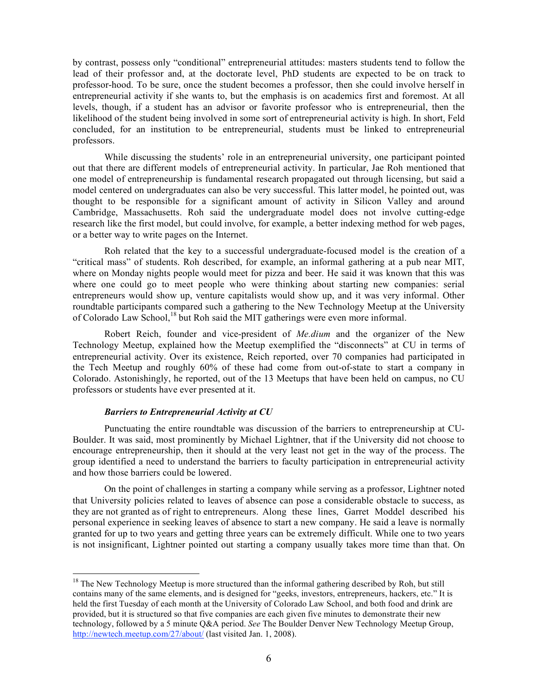by contrast, possess only "conditional" entrepreneurial attitudes: masters students tend to follow the lead of their professor and, at the doctorate level, PhD students are expected to be on track to professor-hood. To be sure, once the student becomes a professor, then she could involve herself in entrepreneurial activity if she wants to, but the emphasis is on academics first and foremost. At all levels, though, if a student has an advisor or favorite professor who is entrepreneurial, then the likelihood of the student being involved in some sort of entrepreneurial activity is high. In short, Feld concluded, for an institution to be entrepreneurial, students must be linked to entrepreneurial professors.

While discussing the students' role in an entrepreneurial university, one participant pointed out that there are different models of entrepreneurial activity. In particular, Jae Roh mentioned that one model of entrepreneurship is fundamental research propagated out through licensing, but said a model centered on undergraduates can also be very successful. This latter model, he pointed out, was thought to be responsible for a significant amount of activity in Silicon Valley and around Cambridge, Massachusetts. Roh said the undergraduate model does not involve cutting-edge research like the first model, but could involve, for example, a better indexing method for web pages, or a better way to write pages on the Internet.

Roh related that the key to a successful undergraduate-focused model is the creation of a "critical mass" of students. Roh described, for example, an informal gathering at a pub near MIT, where on Monday nights people would meet for pizza and beer. He said it was known that this was where one could go to meet people who were thinking about starting new companies: serial entrepreneurs would show up, venture capitalists would show up, and it was very informal. Other roundtable participants compared such a gathering to the New Technology Meetup at the University of Colorado Law School,<sup>18</sup> but Roh said the MIT gatherings were even more informal.

Robert Reich, founder and vice-president of *Me.dium* and the organizer of the New Technology Meetup, explained how the Meetup exemplified the "disconnects" at CU in terms of entrepreneurial activity. Over its existence, Reich reported, over 70 companies had participated in the Tech Meetup and roughly 60% of these had come from out-of-state to start a company in Colorado. Astonishingly, he reported, out of the 13 Meetups that have been held on campus, no CU professors or students have ever presented at it.

### *Barriers to Entrepreneurial Activity at CU*

Punctuating the entire roundtable was discussion of the barriers to entrepreneurship at CU-Boulder. It was said, most prominently by Michael Lightner, that if the University did not choose to encourage entrepreneurship, then it should at the very least not get in the way of the process. The group identified a need to understand the barriers to faculty participation in entrepreneurial activity and how those barriers could be lowered.

On the point of challenges in starting a company while serving as a professor, Lightner noted that University policies related to leaves of absence can pose a considerable obstacle to success, as they are not granted as of right to entrepreneurs. Along these lines, Garret Moddel described his personal experience in seeking leaves of absence to start a new company. He said a leave is normally granted for up to two years and getting three years can be extremely difficult. While one to two years is not insignificant, Lightner pointed out starting a company usually takes more time than that. On

 $18$  The New Technology Meetup is more structured than the informal gathering described by Roh, but still contains many of the same elements, and is designed for "geeks, investors, entrepreneurs, hackers, etc." It is held the first Tuesday of each month at the University of Colorado Law School, and both food and drink are provided, but it is structured so that five companies are each given five minutes to demonstrate their new technology, followed by a 5 minute Q&A period. *See* The Boulder Denver New Technology Meetup Group, http://newtech.meetup.com/27/about/ (last visited Jan. 1, 2008).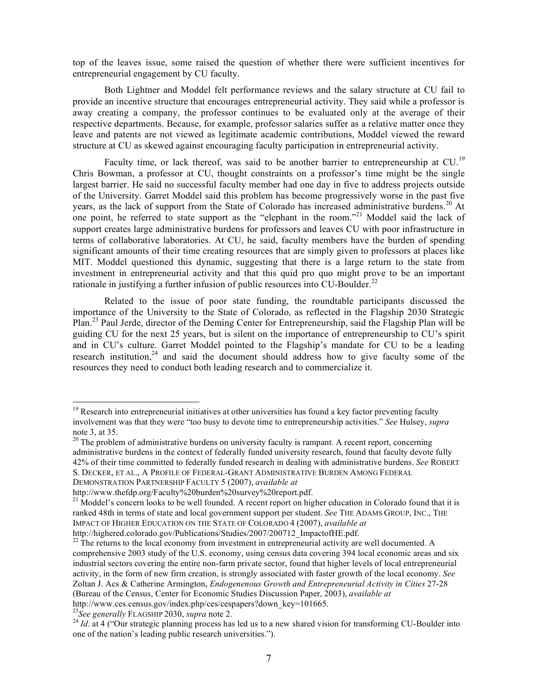top of the leaves issue, some raised the question of whether there were sufficient incentives for entrepreneurial engagement by CU faculty.

Both Lightner and Moddel felt performance reviews and the salary structure at CU fail to provide an incentive structure that encourages entrepreneurial activity. They said while a professor is away creating a company, the professor continues to be evaluated only at the average of their respective departments. Because, for example, professor salaries suffer as a relative matter once they leave and patents are not viewed as legitimate academic contributions, Moddel viewed the reward structure at CU as skewed against encouraging faculty participation in entrepreneurial activity.

Faculty time, or lack thereof, was said to be another barrier to entrepreneurship at CU.<sup>19</sup> Chris Bowman, a professor at CU, thought constraints on a professor's time might be the single largest barrier. He said no successful faculty member had one day in five to address projects outside of the University. Garret Moddel said this problem has become progressively worse in the past five years, as the lack of support from the State of Colorado has increased administrative burdens.<sup>20</sup> At one point, he referred to state support as the "elephant in the room."<sup>21</sup> Moddel said the lack of support creates large administrative burdens for professors and leaves CU with poor infrastructure in terms of collaborative laboratories. At CU, he said, faculty members have the burden of spending significant amounts of their time creating resources that are simply given to professors at places like MIT. Moddel questioned this dynamic, suggesting that there is a large return to the state from investment in entrepreneurial activity and that this quid pro quo might prove to be an important rationale in justifying a further infusion of public resources into CU-Boulder.<sup>22</sup>

Related to the issue of poor state funding, the roundtable participants discussed the importance of the University to the State of Colorado, as reflected in the Flagship 2030 Strategic Plan.<sup>23</sup> Paul Jerde, director of the Deming Center for Entrepreneurship, said the Flagship Plan will be guiding CU for the next 25 years, but is silent on the importance of entrepreneurship to CU's spirit and in CU's culture. Garret Moddel pointed to the Flagship's mandate for CU to be a leading research institution,<sup>24</sup> and said the document should address how to give faculty some of the resources they need to conduct both leading research and to commercialize it.

DEMONSTRATION PARTNERSHIP FACULTY 5 (2007), *available at*

http://www.ces.census.gov/index.php/ces/cespapers?down\_key=101665.<br><sup>23</sup>See generally FLAGSHIP 2030, *supra* note 2.

 $19$  Research into entrepreneurial initiatives at other universities has found a key factor preventing faculty involvement was that they were "too busy to devote time to entrepreneurship activities." *See* Hulsey, *supra*

 $20$  The problem of administrative burdens on university faculty is rampant. A recent report, concerning administrative burdens in the context of federally funded university research, found that faculty devote fully 42% of their time committed to federally funded research in dealing with administrative burdens. *See* ROBERT S. DECKER, ET AL., A PROFILE OF FEDERAL-GRANT ADMINISTRATIVE BURDEN AMONG FEDERAL

http://www.thefdp.org/Faculty%20burden%20survey%20report.pdf.<br><sup>21</sup> Moddel's concern looks to be well founded. A recent report on higher education in Colorado found that it is ranked 48th in terms of state and local government support per student. *See* THE ADAMS GROUP, INC., THE IMPACT OF HIGHER EDUCATION ON THE STATE OF COLORADO 4 (2007), *available at*

http://highered.colorado.gov/Publications/Studies/2007/200712\_ImpactofHE.pdf. <sup>22</sup> The returns to the local economy from investment in entrepreneurial activity are well documented. A comprehensive 2003 study of the U.S. economy, using census data covering 394 local economic areas and six industrial sectors covering the entire non-farm private sector, found that higher levels of local entrepreneurial activity, in the form of new firm creation, is strongly associated with faster growth of the local economy. *See* Zoltan J. Acs & Catherine Armington, *Endogenenous Growth and Entrepreneurial Activity in Cities* 27-28 (Bureau of the Census, Center for Economic Studies Discussion Paper, 2003), *available at*

<sup>&</sup>lt;sup>24</sup> *Id.* at 4 ("Our strategic planning process has led us to a new shared vision for transforming CU-Boulder into one of the nation's leading public research universities.").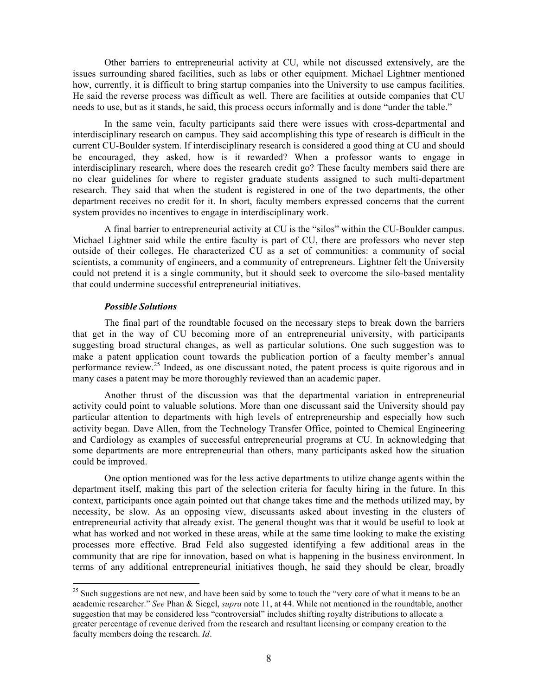Other barriers to entrepreneurial activity at CU, while not discussed extensively, are the issues surrounding shared facilities, such as labs or other equipment. Michael Lightner mentioned how, currently, it is difficult to bring startup companies into the University to use campus facilities. He said the reverse process was difficult as well. There are facilities at outside companies that CU needs to use, but as it stands, he said, this process occurs informally and is done "under the table."

In the same vein, faculty participants said there were issues with cross-departmental and interdisciplinary research on campus. They said accomplishing this type of research is difficult in the current CU-Boulder system. If interdisciplinary research is considered a good thing at CU and should be encouraged, they asked, how is it rewarded? When a professor wants to engage in interdisciplinary research, where does the research credit go? These faculty members said there are no clear guidelines for where to register graduate students assigned to such multi-department research. They said that when the student is registered in one of the two departments, the other department receives no credit for it. In short, faculty members expressed concerns that the current system provides no incentives to engage in interdisciplinary work.

A final barrier to entrepreneurial activity at CU is the "silos" within the CU-Boulder campus. Michael Lightner said while the entire faculty is part of CU, there are professors who never step outside of their colleges. He characterized CU as a set of communities: a community of social scientists, a community of engineers, and a community of entrepreneurs. Lightner felt the University could not pretend it is a single community, but it should seek to overcome the silo-based mentality that could undermine successful entrepreneurial initiatives.

#### *Possible Solutions*

The final part of the roundtable focused on the necessary steps to break down the barriers that get in the way of CU becoming more of an entrepreneurial university, with participants suggesting broad structural changes, as well as particular solutions. One such suggestion was to make a patent application count towards the publication portion of a faculty member's annual performance review.<sup>25</sup> Indeed, as one discussant noted, the patent process is quite rigorous and in many cases a patent may be more thoroughly reviewed than an academic paper.

Another thrust of the discussion was that the departmental variation in entrepreneurial activity could point to valuable solutions. More than one discussant said the University should pay particular attention to departments with high levels of entrepreneurship and especially how such activity began. Dave Allen, from the Technology Transfer Office, pointed to Chemical Engineering and Cardiology as examples of successful entrepreneurial programs at CU. In acknowledging that some departments are more entrepreneurial than others, many participants asked how the situation could be improved.

One option mentioned was for the less active departments to utilize change agents within the department itself, making this part of the selection criteria for faculty hiring in the future. In this context, participants once again pointed out that change takes time and the methods utilized may, by necessity, be slow. As an opposing view, discussants asked about investing in the clusters of entrepreneurial activity that already exist. The general thought was that it would be useful to look at what has worked and not worked in these areas, while at the same time looking to make the existing processes more effective. Brad Feld also suggested identifying a few additional areas in the community that are ripe for innovation, based on what is happening in the business environment. In terms of any additional entrepreneurial initiatives though, he said they should be clear, broadly

<sup>&</sup>lt;sup>25</sup> Such suggestions are not new, and have been said by some to touch the "very core of what it means to be an academic researcher." *See* Phan & Siegel, *supra* note 11, at 44. While not mentioned in the roundtable, another suggestion that may be considered less "controversial" includes shifting royalty distributions to allocate a greater percentage of revenue derived from the research and resultant licensing or company creation to the faculty members doing the research. *Id*.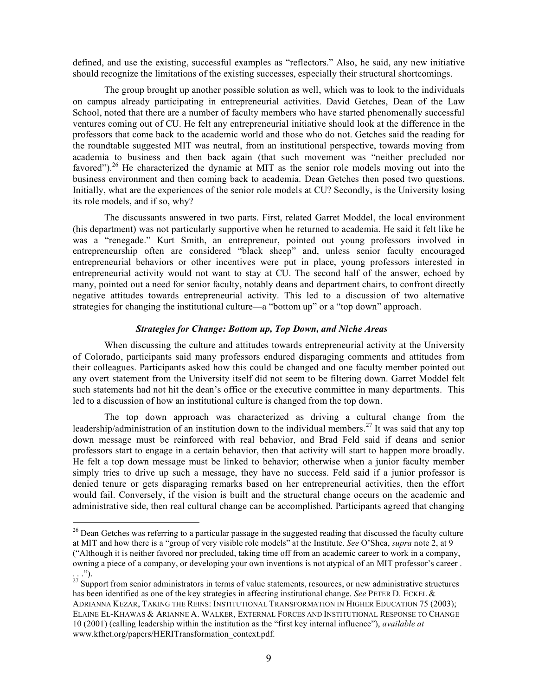defined, and use the existing, successful examples as "reflectors." Also, he said, any new initiative should recognize the limitations of the existing successes, especially their structural shortcomings.

The group brought up another possible solution as well, which was to look to the individuals on campus already participating in entrepreneurial activities. David Getches, Dean of the Law School, noted that there are a number of faculty members who have started phenomenally successful ventures coming out of CU. He felt any entrepreneurial initiative should look at the difference in the professors that come back to the academic world and those who do not. Getches said the reading for the roundtable suggested MIT was neutral, from an institutional perspective, towards moving from academia to business and then back again (that such movement was "neither precluded nor favored").<sup>26</sup> He characterized the dynamic at MIT as the senior role models moving out into the business environment and then coming back to academia. Dean Getches then posed two questions. Initially, what are the experiences of the senior role models at CU? Secondly, is the University losing its role models, and if so, why?

The discussants answered in two parts. First, related Garret Moddel, the local environment (his department) was not particularly supportive when he returned to academia. He said it felt like he was a "renegade." Kurt Smith, an entrepreneur, pointed out young professors involved in entrepreneurship often are considered "black sheep" and, unless senior faculty encouraged entrepreneurial behaviors or other incentives were put in place, young professors interested in entrepreneurial activity would not want to stay at CU. The second half of the answer, echoed by many, pointed out a need for senior faculty, notably deans and department chairs, to confront directly negative attitudes towards entrepreneurial activity. This led to a discussion of two alternative strategies for changing the institutional culture—a "bottom up" or a "top down" approach.

# *Strategies for Change: Bottom up, Top Down, and Niche Areas*

When discussing the culture and attitudes towards entrepreneurial activity at the University of Colorado, participants said many professors endured disparaging comments and attitudes from their colleagues. Participants asked how this could be changed and one faculty member pointed out any overt statement from the University itself did not seem to be filtering down. Garret Moddel felt such statements had not hit the dean's office or the executive committee in many departments. This led to a discussion of how an institutional culture is changed from the top down.

The top down approach was characterized as driving a cultural change from the leadership/administration of an institution down to the individual members.<sup>27</sup> It was said that any top down message must be reinforced with real behavior, and Brad Feld said if deans and senior professors start to engage in a certain behavior, then that activity will start to happen more broadly. He felt a top down message must be linked to behavior; otherwise when a junior faculty member simply tries to drive up such a message, they have no success. Feld said if a junior professor is denied tenure or gets disparaging remarks based on her entrepreneurial activities, then the effort would fail. Conversely, if the vision is built and the structural change occurs on the academic and administrative side, then real cultural change can be accomplished. Participants agreed that changing

<sup>&</sup>lt;sup>26</sup> Dean Getches was referring to a particular passage in the suggested reading that discussed the faculty culture at MIT and how there is a "group of very visible role models" at the Institute. *See* O'Shea, *supra* note 2, at 9 ("Although it is neither favored nor precluded, taking time off from an academic career to work in a company, owning a piece of a company, or developing your own inventions is not atypical of an MIT professor's career .

<sup>...&</sup>quot;).<br><sup>27</sup> Support from senior administrators in terms of value statements, resources, or new administrative structures has been identified as one of the key strategies in affecting institutional change. *See* PETER D. ECKEL & ADRIANNA KEZAR, TAKING THE REINS: INSTITUTIONAL TRANSFORMATION IN HIGHER EDUCATION 75 (2003); ELAINE EL-KHAWAS & ARIANNE A. WALKER, EXTERNAL FORCES AND INSTITUTIONAL RESPONSE TO CHANGE 10 (2001) (calling leadership within the institution as the "first key internal influence"), *available at* www.kfhet.org/papers/HERITransformation\_context.pdf.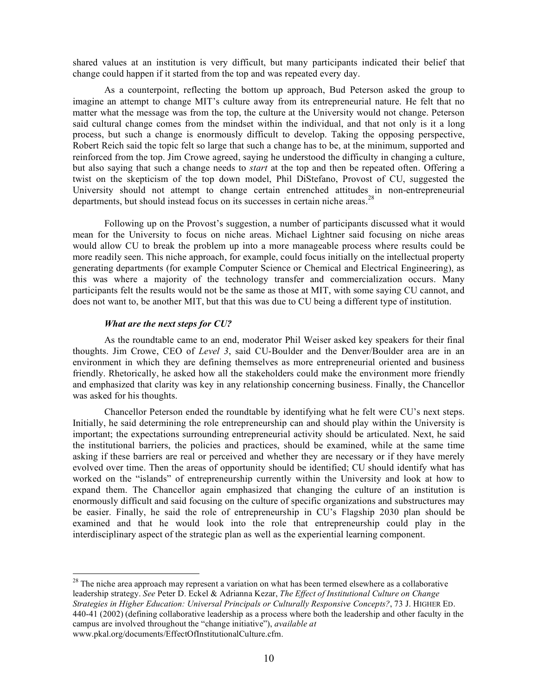shared values at an institution is very difficult, but many participants indicated their belief that change could happen if it started from the top and was repeated every day.

As a counterpoint, reflecting the bottom up approach, Bud Peterson asked the group to imagine an attempt to change MIT's culture away from its entrepreneurial nature. He felt that no matter what the message was from the top, the culture at the University would not change. Peterson said cultural change comes from the mindset within the individual, and that not only is it a long process, but such a change is enormously difficult to develop. Taking the opposing perspective, Robert Reich said the topic felt so large that such a change has to be, at the minimum, supported and reinforced from the top. Jim Crowe agreed, saying he understood the difficulty in changing a culture, but also saying that such a change needs to *start* at the top and then be repeated often. Offering a twist on the skepticism of the top down model, Phil DiStefano, Provost of CU, suggested the University should not attempt to change certain entrenched attitudes in non-entrepreneurial departments, but should instead focus on its successes in certain niche areas.<sup>28</sup>

Following up on the Provost's suggestion, a number of participants discussed what it would mean for the University to focus on niche areas. Michael Lightner said focusing on niche areas would allow CU to break the problem up into a more manageable process where results could be more readily seen. This niche approach, for example, could focus initially on the intellectual property generating departments (for example Computer Science or Chemical and Electrical Engineering), as this was where a majority of the technology transfer and commercialization occurs. Many participants felt the results would not be the same as those at MIT, with some saying CU cannot, and does not want to, be another MIT, but that this was due to CU being a different type of institution.

### *What are the next steps for CU?*

As the roundtable came to an end, moderator Phil Weiser asked key speakers for their final thoughts. Jim Crowe, CEO of *Level 3*, said CU-Boulder and the Denver/Boulder area are in an environment in which they are defining themselves as more entrepreneurial oriented and business friendly. Rhetorically, he asked how all the stakeholders could make the environment more friendly and emphasized that clarity was key in any relationship concerning business. Finally, the Chancellor was asked for his thoughts.

Chancellor Peterson ended the roundtable by identifying what he felt were CU's next steps. Initially, he said determining the role entrepreneurship can and should play within the University is important; the expectations surrounding entrepreneurial activity should be articulated. Next, he said the institutional barriers, the policies and practices, should be examined, while at the same time asking if these barriers are real or perceived and whether they are necessary or if they have merely evolved over time. Then the areas of opportunity should be identified; CU should identify what has worked on the "islands" of entrepreneurship currently within the University and look at how to expand them. The Chancellor again emphasized that changing the culture of an institution is enormously difficult and said focusing on the culture of specific organizations and substructures may be easier. Finally, he said the role of entrepreneurship in CU's Flagship 2030 plan should be examined and that he would look into the role that entrepreneurship could play in the interdisciplinary aspect of the strategic plan as well as the experiential learning component.

 $28$  The niche area approach may represent a variation on what has been termed elsewhere as a collaborative leadership strategy. *See* Peter D. Eckel & Adrianna Kezar, *The Effect of Institutional Culture on Change Strategies in Higher Education: Universal Principals or Culturally Responsive Concepts?*, 73 J. HIGHER ED. 440-41 (2002) (defining collaborative leadership as a process where both the leadership and other faculty in the campus are involved throughout the "change initiative"), *available at* www.pkal.org/documents/EffectOfInstitutionalCulture.cfm.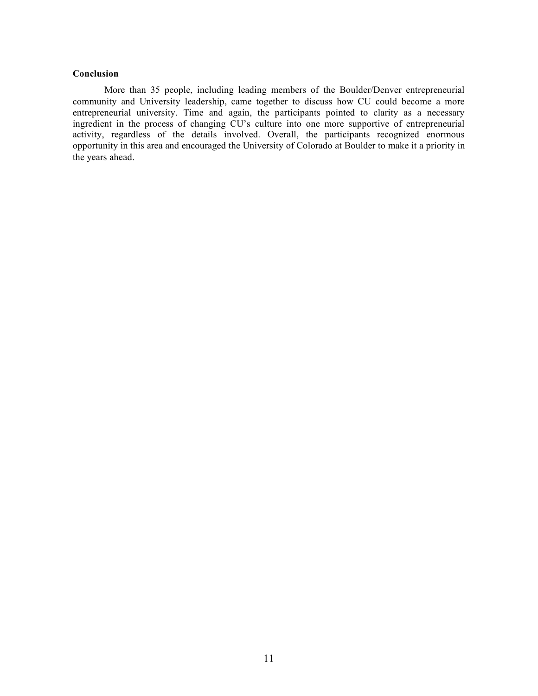### **Conclusion**

More than 35 people, including leading members of the Boulder/Denver entrepreneurial community and University leadership, came together to discuss how CU could become a more entrepreneurial university. Time and again, the participants pointed to clarity as a necessary ingredient in the process of changing CU's culture into one more supportive of entrepreneurial activity, regardless of the details involved. Overall, the participants recognized enormous opportunity in this area and encouraged the University of Colorado at Boulder to make it a priority in the years ahead.